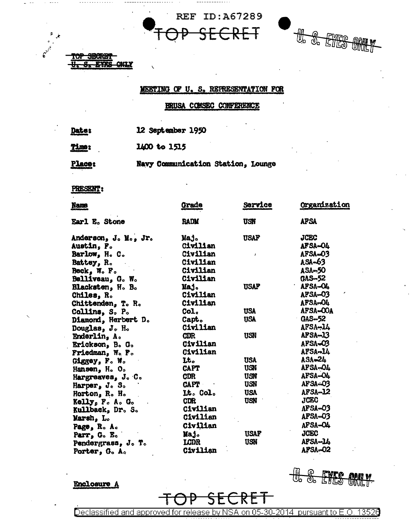



## MEETING OF U. S. REFRESENTATION FOR

## BRUSA CONSEC CONFERENCE

12 September 1950 Date:

1400 to 1515 **Time:** 

 $<sub>0</sub>$ </sub>

**EYRS** 

**Place:** 

Navy Communication Station, Lounge

## PRESENT:

| <b>Name</b>          | Grade       | Service      | Organization   |
|----------------------|-------------|--------------|----------------|
| Earl E. Stone        | <b>RADM</b> | USN          | <b>AFSA</b>    |
| Anderson, J. M., Jr. | Maj.        | <b>USAF</b>  | <b>JCEC</b>    |
| <b>Austin, P.</b>    | Civilian    |              | AFSA-O4        |
| Barlow, H. C.        | Civilian    | $\mathbf{r}$ | AFSA-03        |
| <b>Battey, R.</b>    | Civilian    |              | ASA-63         |
| $Beck_1$ W. F.       | Civilian    |              | $ASA-50$       |
| Belliveau, G. W.     | Civilian    |              | $GAS - 52$     |
| Blacksten, H. B.     | Maj.        | <b>USAF</b>  | AFSA-OL        |
| Chiles, R.           | Civilian    |              | AFSA-03        |
| Chittenden, T. R.    | Civilian    |              | AFSA-O4        |
| Collins, S. P.       | Col.        | <b>USA</b>   | AFSA-OOA       |
| Diamond, Herbert D.  | Capt.       | <b>USA</b>   | $GAS$ -52      |
| Douglas, J. H.       | Civilian    |              | AFSA-14        |
| Enderlin, A.         | <b>CDR</b>  | <b>USN</b>   | $AFSA - 13$    |
| Erickson, B. G.      | Civilian    |              | AFSA-03        |
| Friedman, W. F.      | Civilian    |              | AFSA-14        |
| Giggey, F. W.        | Lt.         | <b>USA</b>   | ASA-24         |
| Hansen, H. O.        | <b>CAPT</b> | <b>USN</b>   | AFSA-04        |
| Hargreaves, J. C.    | <b>CDR</b>  | USN          | AFSA-O4        |
| Harper, $Jc So$      | <b>CAPT</b> | <b>USN</b>   | AFSA=03        |
| Horton, R. H.        | Lt. Col.    | <b>USA</b>   | AFSA-12        |
| Kelly, F. A. G.      | <b>CDR</b>  | <b>USN</b>   | <b>JCEC</b>    |
| Kullback, Dr. S.     | Civilian    |              | afsa=03        |
| Marsh, L.            | Civilian    |              | <b>AFSA-03</b> |
| Page, R. A.          | Civilian    |              | AFSA-O4        |
| Parr, G. E.          | Maj.        | <b>USAF</b>  | <b>JCEC</b>    |
| Pendergrass, J. T.   | <b>LCDR</b> | <b>USN</b>   | AFSA-14        |
| Porter. G. A.        | Civilian    |              | AFSA-02        |

Enclosure A

 $\begin{array}{c} \n\text{#} \cdot \text{#} \quad \text{#} \quad \text{#} \quad \text{#} \quad \text{#} \quad \text{#} \quad \text{#} \quad \text{#} \quad \text{#} \quad \text{#} \quad \text{#} \quad \text{#} \quad \text{#} \quad \text{#} \quad \text{#} \quad \text{#} \quad \text{#} \quad \text{#} \quad \text{#} \quad \text{#} \quad \text{#} \quad \text{#} \quad \text{#} \quad \text{#} \quad \text{#} \quad \text{#} \quad \text{#} \quad \text{#} \quad \text{#} \quad \$ **OMILY** 

Declassified and approved for release by NSA on 05-30-2014 pursuant to E.O. 13526